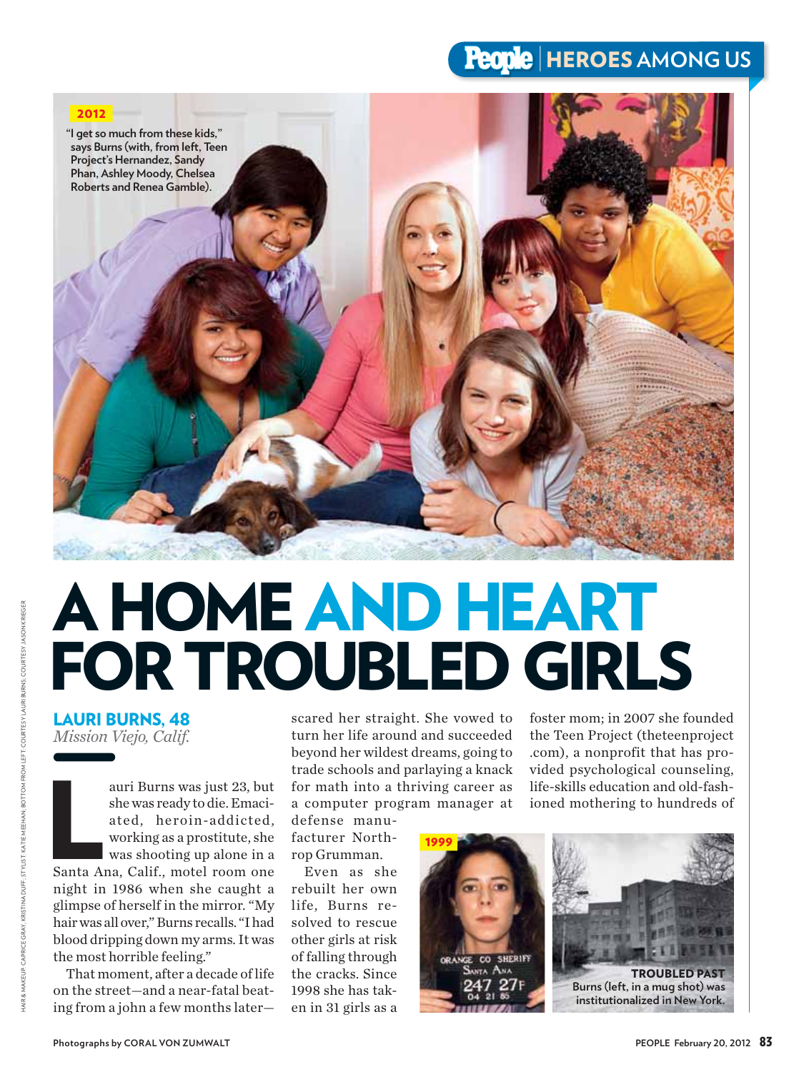## **People | HEROES AMONG US**



## A HOME AND HEART FOR TROUBLED GIRLS

## LAURI BURNS, 48 *Mission Viejo, Calif.*

auri Burns was just 23, but<br>she was ready to die. Emaci-<br>ated, heroin-addicted,<br>working as a prostitute, she<br>was shooting up alone in a<br>Santa Ana, Calif., motel room one auri Burns was just 23, but she was ready to die. Emaciated, heroin-addicted, working as a prostitute, she was shooting up alone in a night in 1986 when she caught a glimpse of herself in the mirror. "My hair was all over," Burns recalls. "I had blood dripping down my arms. It was the most horrible feeling."

That moment, after a decade of life on the street—and a near-fatal beating from a john a few months later—

scared her straight. She vowed to turn her life around and succeeded beyond her wildest dreams, going to trade schools and parlaying a knack for math into a thriving career as a computer program manager at

defense manufacturer Northrop Grumman.

Even as she rebuilt her own life, Burns resolved to rescue other girls at risk of falling through the cracks. Since 1998 she has taken in 31 girls as a

foster mom; in 2007 she founded the Teen Project (theteenproject .com), a nonprofit that has provided psychological counseling, life-skills education and old-fashioned mothering to hundreds of